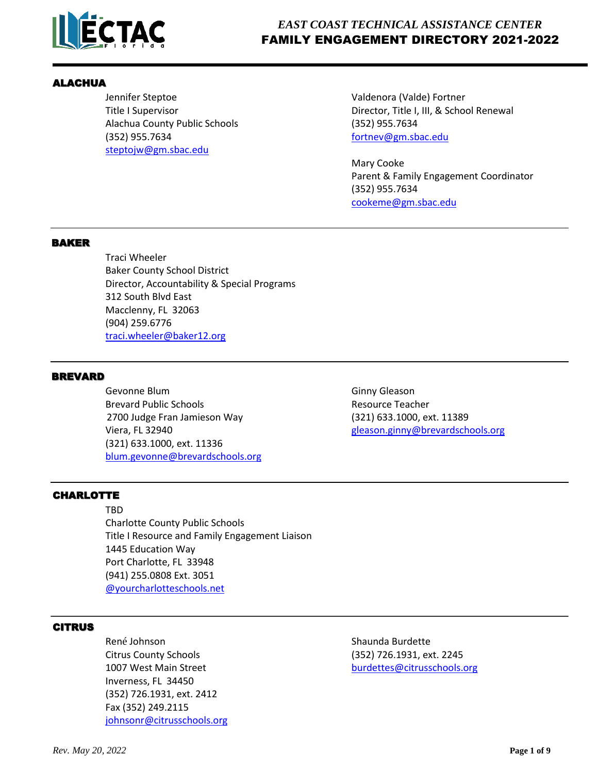

### ALACHUA

Alachua County Public Schools (352) 955.7634 (352) 955.7634 [fortnev@gm.sbac.edu](mailto:fortnev@gm.sbac.edu) [steptojw@gm.sbac.edu](mailto:steptojw@gm.sbac.edu)

Jennifer Steptoe Valdenora (Valde) Fortner Title I Supervisor **Director, Title I, III, & School Renewal** 

> Mary Cooke Parent & Family Engagement Coordinator (352) 955.7634 [cookeme@gm.sbac.edu](mailto:cookeme@gm.sbac.edu)

#### BAKER

Traci Wheeler Baker County School District Director, Accountability & Special Programs 312 South Blvd East Macclenny, FL 32063 (904) 259.6776 [traci.wheeler@baker12.org](mailto:traci.wheeler@baker12.org)

#### BREVARD

Gevonne Blum Gevonne Blum Brevard Public Schools **Resource Teacher** Resource Teacher 2700 Judge Fran Jamieson Way (321) 633.1000, ext. 11389 Viera, FL 32940 [gleason.ginny@brevardschools.org](mailto:gleason.ginny@brevardschools.org) (321) 633.1000, ext. 11336 [blum.gevonne@brevardschools.org](mailto:blum.gevonne@brevardschools.org)

# **CHARLOTTE**

TBD Charlotte County Public Schools Title I Resource and Family Engagement Liaison 1445 Education Way Port Charlotte, FL 33948 (941) 255.0808 Ext. 3051 [@yourcharlotteschools.net](mailto:renee.wiley@yourcharlotteschools.net)

# CITRUS

René Johnson National Shaunda Burdette Citrus County Schools (352) 726.1931, ext. 2245 Inverness, FL 34450 (352) 726.1931, ext. 2412 Fax (352) 249.2115 [johnsonr@citrussc](mailto:johnsonr@citrus.k12.fl.us)hools.org

1007 West Main Street [burdettes@citrusschools.org](mailto:burdettes@citrusschools.org)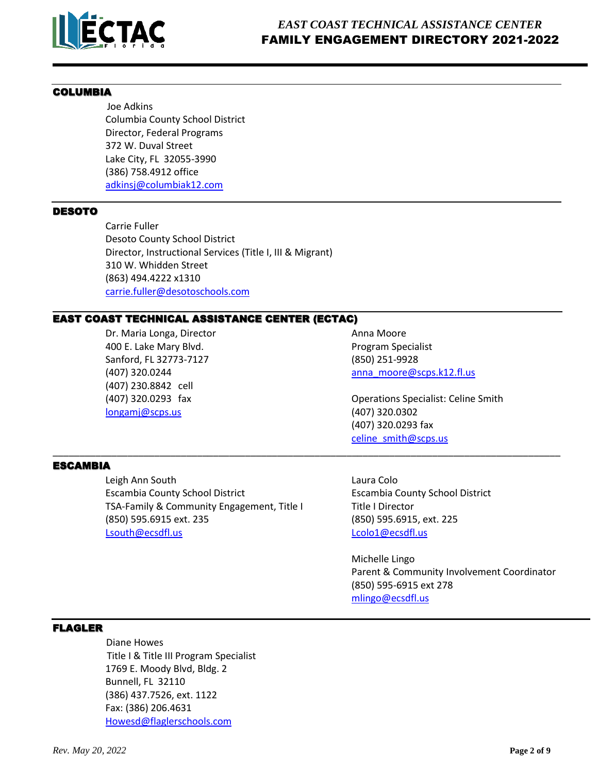

## COLUMBIA

 Joe Adkins Columbia County School District Director, Federal Programs 372 W. Duval Street Lake City, FL 32055-3990 (386) 758.4912 office [adkinsj@columbiak12.com](mailto:adkinsj@columbiak12.com)

## DESOTO

Carrie Fuller Desoto County School District Director, Instructional Services (Title I, III & Migrant) 310 W. Whidden Street (863) 494.4222 x1310 [carrie.fuller@desotoschools.com](mailto:carrie.fuller@desotoschools.com)

## EAST COAST TECHNICAL ASSISTANCE CENTER (ECTAC)

Dr. Maria Longa, Director **Anna Moore** Anna Moore 400 E. Lake Mary Blvd. **All and Secure 2018** Program Specialist Sanford, FL 32773-7127 (850) 251-9928 (407) 320.0244 [anna\\_moore@scps.k12.fl.us](mailto:anna_moore@scps.k12.fl.us) (407) 230.8842 cell [longamj@scps.us](mailto:longamj@scps.us) (407) 320.0302

(407) 320.0293 fax Operations Specialist: Celine Smith (407) 320.0293 fax [celine\\_smith@scps.us](mailto:celine_smith@scps.us)

#### ESCAMBIA

 Leigh Ann South Laura Colo Escambia County School District Escambia County School District TSA-Family & Community Engagement, Title I Title I Director (850) 595.6915 ext. 235 (850) 595.6915, ext. 225 [Lsouth@ecsdfl.us](mailto:Lsouth@ecsdfl.us) leader that the local coloners are leader to be a local coloner to be a local coloner to be a

\_\_\_\_\_\_\_\_\_\_\_\_\_\_\_\_\_\_\_\_\_\_\_\_\_\_\_\_\_\_\_\_\_\_\_\_\_\_\_\_\_\_\_\_\_\_\_\_\_\_\_\_\_\_\_\_\_\_\_\_\_\_\_\_\_\_\_\_\_\_\_\_\_\_\_\_\_\_\_\_\_\_\_\_\_\_\_\_\_\_\_\_\_\_\_

Michelle Lingo Parent & Community Involvement Coordinator (850) 595-6915 ext 278 [mlingo@ecsdfl.us](mailto:mlingo@ecsdfl.us)

# FLAGLER

 Diane Howes Title I & Title III Program Specialist 1769 E. Moody Blvd, Bldg. 2 Bunnell, FL 32110 (386) 437.7526, ext. 1122 Fax: (386) 206.4631 [Howesd@flaglerschools.com](mailto:Howesd@flaglerschools.com)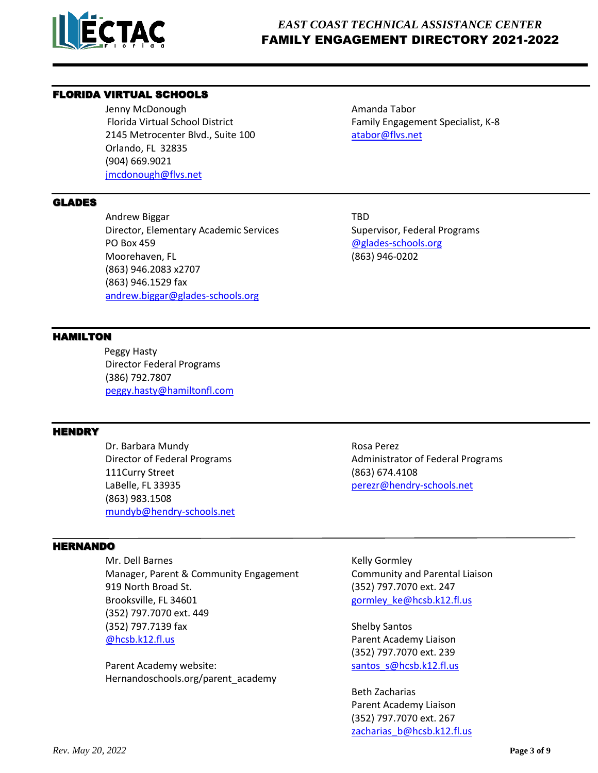

# *EAST COAST TECHNICAL ASSISTANCE CENTER* FAMILY ENGAGEMENT DIRECTORY 2021-2022

# FLORIDA VIRTUAL SCHOOLS

Jenny McDonough **Amanda Tabor** Amanda Tabor Florida Virtual School District Family Engagement Specialist, K-8 2145 Metrocenter Blvd., Suite 100 [atabor@flvs.net](mailto:atabor@flvs.net) Orlando, FL 32835 (904) 669.9021 [jmcdonough@flvs.net](mailto:jmcdonough@flvs.net)

#### GLADES

Andrew Biggar TBD Director, Elementary Academic Services Supervisor, Federal Programs PO Box 459 **and 2012** and 2013 **and 2013 and 2013 [@glades-schools.org](mailto:jennifer.cosby@glades-schools.org)** Moorehaven, FL (863) 946-0202 (863) 946.2083 x2707 (863) 946.1529 fax [andrew.biggar@glades-schools.org](mailto:andrew.biggar@glades-schools.org)

## HAMILTON

 Peggy Hasty Director Federal Programs (386) 792.7807 [peggy.hasty@hamiltonfl.com](mailto:peggy.hasty@hamiltonfl.com)

## **HENDRY**

Dr. Barbara Mundy **Rosa Perez** Rosa Perez 111Curry Street (863) 674.4108 LaBelle, FL 33935 **[perezr@hendry-schools.net](mailto:perezr@hendry-schools.net)** (863) 983.1508 [mundyb@hendry-schools.net](mailto:mundyb@hendry-schools.net)

#### HERNANDO

Mr. Dell Barnes **Kelly Gormley** Manager, Parent & Community Engagement Community and Parental Liaison 919 North Broad St. (352) 797.7070 ext. 247 Brooksville, FL 34601 and the state of the state of the state of the gormley ke@hcsb.k12.fl.us (352) 797.7070 ext. 449 (352) 797.7139 fax Shelby Santos [@hcsb.k12.fl.us](mailto:mendoza_i@hcsb.k12.fl.us) Parent Academy Liaison

Parent Academy website: santos\_sentos\_sentos\_sentos\_sentos\_sentos\_sentos\_sentos\_sentos\_sentos\_sentos\_sentos\_s Hernandoschools.org/parent\_academy

Director of Federal Programs **Administrator of Federal Programs** Administrator of Federal Programs

(352) 797.7070 ext. 239

Beth Zacharias Parent Academy Liaison (352) 797.7070 ext. 267 [zacharias\\_b@hcsb.k12.fl.us](mailto:zacharias_b@hcsb.k12.fl.us)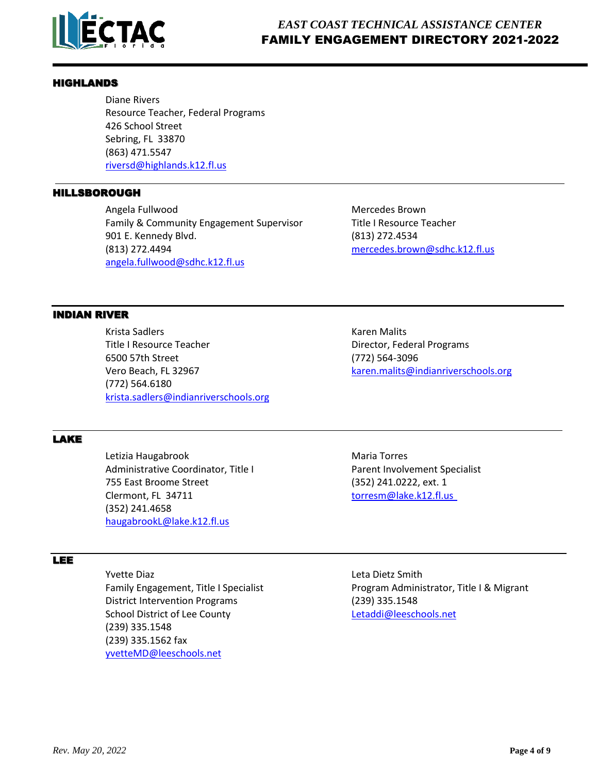

#### HIGHLANDS

 Diane Rivers Resource Teacher, Federal Programs 426 School Street Sebring, FL 33870 (863) 471.5547 [riversd@highlands.k12.fl.us](mailto:riversd@highlands.k12.fl.us)

#### HILLSBOROUGH

Angela Fullwood and a metal metal of the Mercedes Brown Family & Community Engagement Supervisor Title I Resource Teacher 901 E. Kennedy Blvd. (813) 272.4534 (813) 272.4494 [mercedes.brown@sdhc.k12.fl.us](mailto:mercedes.brown@sdhc.k12.fl.us) [angela.fullwood@sdhc.k12.fl.us](mailto:angela.fullwood@sdhc.k12.fl.us)

## INDIAN RIVER

Krista Sadlers **Krista Sadlers** Karen Malits Title I Resource Teacher **Director, Federal Programs** 6500 57th Street (772) 564-3096 Vero Beach, FL 32967 [karen.malits@indianriverschools.org](mailto:karen.malits@indianriverschools.org) (772) 564.6180 [krista.sadlers@indianriverschools.org](mailto:krista.sadlers@indianriverschools.org)

## LAKE

Letizia Haugabrook **Maria Torres** Maria Torres Administrative Coordinator, Title I Parent Involvement Specialist 755 East Broome Street (352) 241.0222, ext. 1 Clermont, FL 34711 [torresm@lake.k12.fl.us](mailto:torresm@lake.k12.fl.us) (352) 241.4658 [haugabrookL@lake.k12.fl.us](mailto:haugabrookL@lake.k12.fl.us)

#### LEE

Yvette Diaz **Leta Dietz Smith**  District Intervention Programs (239) 335.1548 School District of Lee County [Letaddi@leeschools.net](mailto:Letaddi@leeschools.net) (239) 335.1548 (239) 335.1562 fax [yvetteMD@leeschools.net](mailto:yvetteMD@leeschools.net)

Family Engagement, Title I Specialist Program Administrator, Title I & Migrant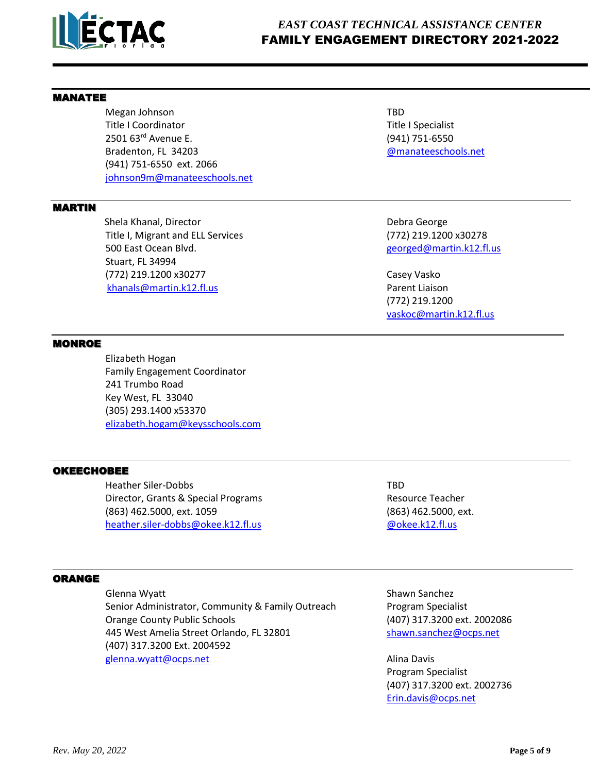

## MANATEE

Megan Johnson TBD Title I Coordinator Title I Specialist 2501 63rd Avenue E. (941) 751-6550 Bradenton, FL 34203 [@manateeschools.net](mailto:sinclairh@manateeschools.net) (941) 751-6550 ext. 2066 [johnson9m@manateeschools.net](mailto:johnson9m@manateeschools.net)

### MARTIN

**Shela Khanal, Director Community Community Community Community Community Community Community Community Community** Title I, Migrant and ELL Services (772) 219.1200 x30278 500 East Ocean Blvd. The Contract of the Contract of the Contract of the Contract of the Blvd. Georged@martin.k12.fl.us Stuart, FL 34994 (772) 219.1200 x30277 Casey Vasko [khanals@martin.k12.fl.us](mailto:khanals@martin.k12.fl.us) Parent Liaison

(772) 219.1200 [vaskoc@martin.k12.fl.us](mailto:vaskoc@martin.k12.fl.us)

#### **MONROE**

 Elizabeth Hogan Family Engagement Coordinator 241 Trumbo Road Key West, FL 33040 (305) 293.1400 x53370 [elizabeth.hogam@keysschools.com](mailto:elizabeth.hogam@keysschools.com)

#### OKEECHOBEE

Heather Siler-Dobbs TBD Director, Grants & Special Programs **Resource Teacher** Resource Teacher (863) 462.5000, ext. 1059 (863) 462.5000, ext. [heather.siler-dobbs@okee.k12.fl.us](mailto:heather.siler-dobbs@okee.k12.fl.us) [@okee.k12.fl.us](mailto:jenningst@okee.k12.fl.us)

#### ORANGE

Glenna Wyatt **Shawn Sanchez** Shawn Sanchez Senior Administrator, Community & Family Outreach Program Specialist Orange County Public Schools (407) 317.3200 ext. 2002086 445 West Amelia Street Orlando, FL 32801 [shawn.sanchez@ocps.net](mailto:shawn.sanchez@ocps.net) (407) 317.3200 Ext. 2004592 [glenna.wyatt@ocps.net](mailto:glenna.wyatt@ocps.net) Alina Davis

Program Specialist (407) 317.3200 ext. 2002736 [Erin.davis@ocps.net](mailto:Erin.davis@ocps.net)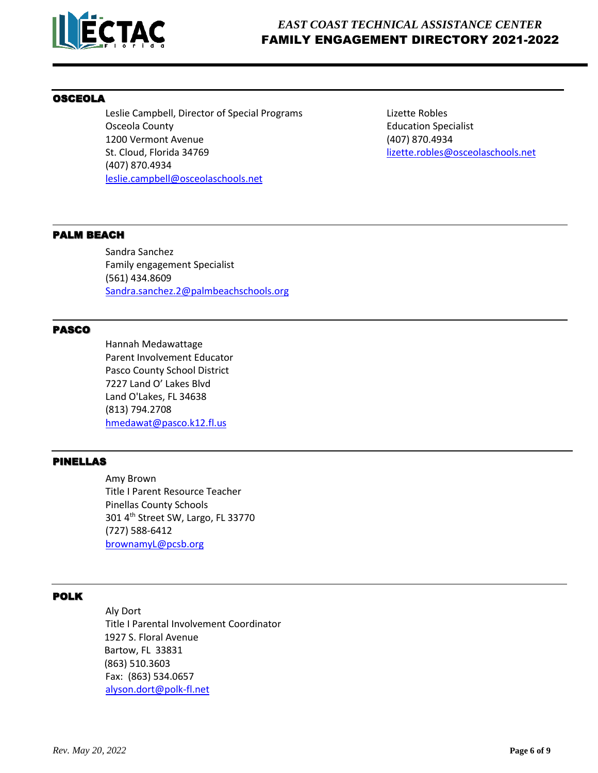

## OSCEOLA

Leslie Campbell, Director of Special Programs Lizette Robles Osceola County **Education Specialist** County **Education Specialist** 1200 Vermont Avenue (407) 870.4934 St. Cloud, Florida 34769 lizette.robles@osceolaschools.net (407) 870.4934 [leslie.campbell@osceolaschools.net](mailto:leslie.campbell@osceolaschools.net)

#### PALM BEACH

Sandra Sanchez Family engagement Specialist (561) 434.8609 [Sandra.sanchez.2@palmbeachschools.org](mailto:Sandra.sanchez.2@palmbeachschools.org)

#### PASCO

Hannah Medawattage Parent Involvement Educator Pasco County School District 7227 Land O' Lakes Blvd Land O'Lakes, FL 34638 (813) 794.2708 [hmedawat@pasco.k12.fl.us](mailto:hmedawat@pasco.k12.fl.us)

## PINELLAS

Amy Brown Title I Parent Resource Teacher Pinellas County Schools 301 4th Street SW, Largo, FL 33770 (727) 588-6412 [brownamyL@pcsb.org](mailto:brownamyL@pcsb.org)

# POLK

 Aly Dort Title I Parental Involvement Coordinator 1927 S. Floral Avenue Bartow, FL 33831 (863) 510.3603 Fax: (863) 534.0657 [alyson.dort@polk-fl.net](mailto:alyson.dort@polk-fl.net)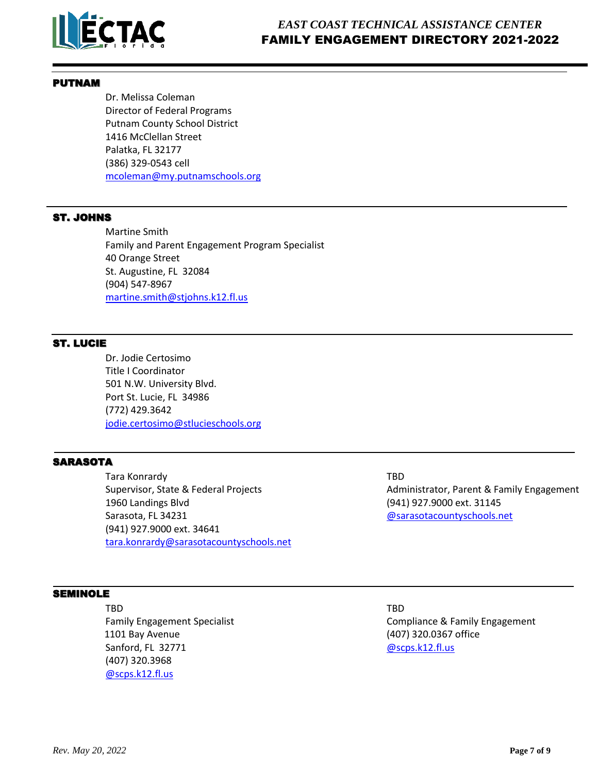

#### PUTNAM

Dr. Melissa Coleman Director of Federal Programs Putnam County School District 1416 McClellan Street Palatka, FL 32177 (386) 329-0543 cell [mcoleman@my.putnamschools.org](mailto:mcoleman@my.putnamschools.org)

## ST. JOHNS

Martine Smith Family and Parent Engagement Program Specialist 40 Orange Street St. Augustine, FL 32084 (904) 547-8967 [martine.smith@stjohns.k12.fl.us](mailto:martine.smith@stjohns.k12.fl.us)

## ST. LUCIE

Dr. Jodie Certosimo Title I Coordinator 501 N.W. University Blvd. Port St. Lucie, FL 34986 (772) 429.3642 [jodie.certosimo@stlucieschools.org](mailto:jodie.certosimo@stlucieschools.org)

## **SARASOTA**

Tara Konrardy **Tara Konrardy TBD** 1960 Landings Blvd (941) 927.9000 ext. 31145 Sarasota, FL 34231 [@sarasotacountyschools.net](mailto:elijah.hodge@sarasotacountyschools.net) (941) 927.9000 ext. 34641 [tara.konrardy@sarasotacountyschools.net](mailto:tara.konrardy@sarasotacountyschools.net)

SEMINOLE

TBD TBD 1101 Bay Avenue (407) 320.0367 office Sanford, FL 32771 [@scps.k12.fl.us](mailto:villanrz1@scps.k12.fl.us) (407) 320.3968 [@scps.k12.fl.us](mailto:pendervz@scps.k12.fl.us)

Supervisor, State & Federal Projects **Administrator, Parent & Family Engagement** 

Family Engagement Specialist Compliance & Family Engagement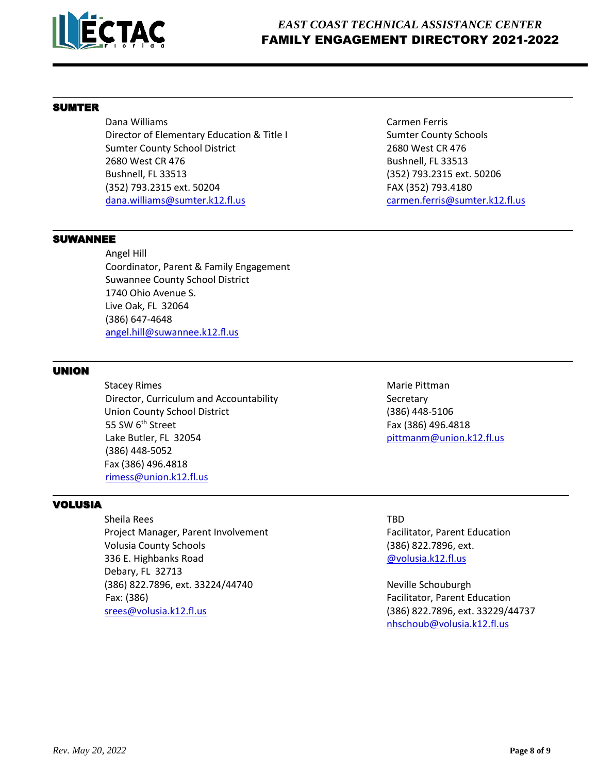

## SUMTER

Dana Williams Carmen Ferris Director of Elementary Education & Title I Sumter County Schools Sumter County School District 2680 West CR 476 2680 West CR 476 Bushnell, FL 33513 Bushnell, FL 33513 (352) 793.2315 ext. 50206 (352) 793.2315 ext. 50204 FAX (352) 793.4180 [dana.williams@sumter.k12.fl.us](mailto:dana.williams@sumter.k12.fl.us) [carmen.ferris@sumter.k12.fl.us](mailto:carmen.ferris@sumter.k12.fl.us)

#### SUWANNEE

 Angel Hill Coordinator, Parent & Family Engagement Suwannee County School District 1740 Ohio Avenue S. Live Oak, FL 32064 (386) 647-4648 [angel.hill@suwannee.k12.fl.us](mailto:angel.hill@suwannee.k12.fl.us)

## UNION

**Stacey Rimes** Marie Pittman Director, Curriculum and Accountability Secretary Union County School District (386) 448-5106 55 SW 6<sup>th</sup> Street Fax (386) 496.4818 Lake Butler, FL 32054 **big and the set of the set of the set of the set of the set of the set of the set of the set of the set of the set of the set of the set of the set of the set of the set of the set of the set of the** (386) 448-5052 Fax (386) 496.4818 [rimess@union.k12.fl.us](mailto:rimess@union.k12.fl.us)

## VOLUSIA

Sheila Rees TBD Project Manager, Parent Involvement Facilitator, Parent Education Volusia County Schools (386) 822.7896, ext. 336 E. Highbanks Road **and Communist Communist Communist Communist Communist Communist Communist Communist Communist Communist Communist Communist Communist Communist Communist Communist Communist Communist Communist Commu**  Debary, FL 32713 (386) 822.7896, ext. 33224/44740 Neville Schouburgh Fax: (386) Facilitator, Parent Education [srees@volusia.k12.fl.us](mailto:srees@volusia.k12.fl.us) (386) 822.7896, ext. 33229/44737

[nhschoub@volusia.k12.fl.us](mailto:nhschoub@volusia.k12.fl.us)